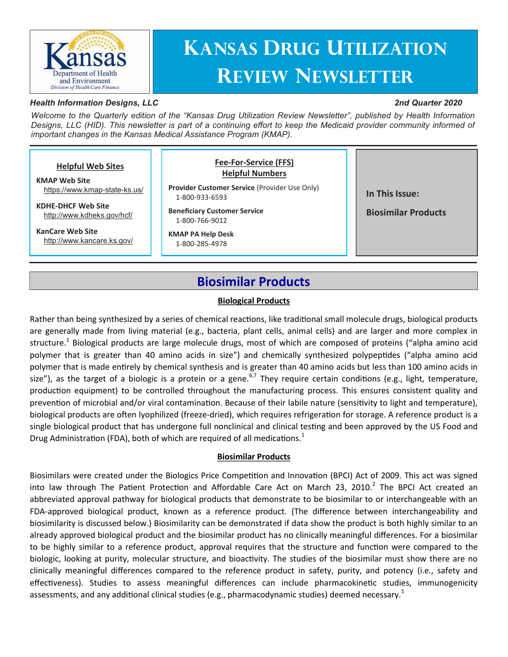

# **Kansas Drug Utilization Review Newsletter**

#### *Health Information Designs, LLC*

#### *2nd Quarter 2020*

*Welcome to the Quarterly edition of the "Kansas Drug Utilization Review Newsletter", published by Health Information Designs, LLC (HID). This newsletter is part of a continuing effort to keep the Medicaid provider community informed of important changes in the Kansas Medical Assistance Program (KMAP).*

#### **In This Issue: Biosimilar Products Helpful Web Sites KMAP Web Site** [https://www.kmap](https://www.kmap-state-ks.us/)-state-ks.us/ **KDHE-DHCF Web Site** <http://www.kdheks.gov/hcf/> **KanCare Web Site** <http://www.kancare.ks.gov/> **Fee-For-Service (FFS) Helpful Numbers Provider Customer Service** (Provider Use Only) 1-800-933-6593 **Beneficiary Customer Service** 1-800-766-9012 **KMAP PA Help Desk** 1-800-285-4978

### **Biosimilar Products**

#### **Biological Products**

Rather than being synthesized by a series of chemical reactions, like traditional small molecule drugs, biological products are generally made from living material (e.g., bacteria, plant cells, animal cells) and are larger and more complex in structure.<sup>1</sup> Biological products are large molecule drugs, most of which are composed of proteins ("alpha amino acid polymer that is greater than 40 amino acids in size") and chemically synthesized polypeptides ("alpha amino acid polymer that is made entirely by chemical synthesis and is greater than 40 amino acids but less than 100 amino acids in size"), as the target of a biologic is a protein or a gene.<sup>6,7</sup> They require certain conditions (e.g., light, temperature, production equipment) to be controlled throughout the manufacturing process. This ensures consistent quality and prevention of microbial and/or viral contamination. Because of their labile nature (sensitivity to light and temperature), biological products are often lyophilized (freeze-dried), which requires refrigeration for storage. A reference product is a single biological product that has undergone full nonclinical and clinical testing and been approved by the US Food and Drug Administration (FDA), both of which are required of all medications.<sup>1</sup>

#### **Biosimilar Products**

Biosimilars were created under the Biologics Price Competition and Innovation (BPCI) Act of 2009. This act was signed into law through The Patient Protection and Affordable Care Act on March 23, 2010.<sup>2</sup> The BPCI Act created an abbreviated approval pathway for biological products that demonstrate to be biosimilar to or interchangeable with an FDA-approved biological product, known as a reference product. (The difference between interchangeability and biosimilarity is discussed below.) Biosimilarity can be demonstrated if data show the product is both highly similar to an already approved biological product and the biosimilar product has no clinically meaningful differences. For a biosimilar to be highly similar to a reference product, approval requires that the structure and function were compared to the biologic, looking at purity, molecular structure, and bioactivity. The studies of the biosimilar must show there are no clinically meaningful differences compared to the reference product in safety, purity, and potency (i.e., safety and effectiveness). Studies to assess meaningful differences can include pharmacokinetic studies, immunogenicity assessments, and any additional clinical studies (e.g., pharmacodynamic studies) deemed necessary.<sup>1</sup>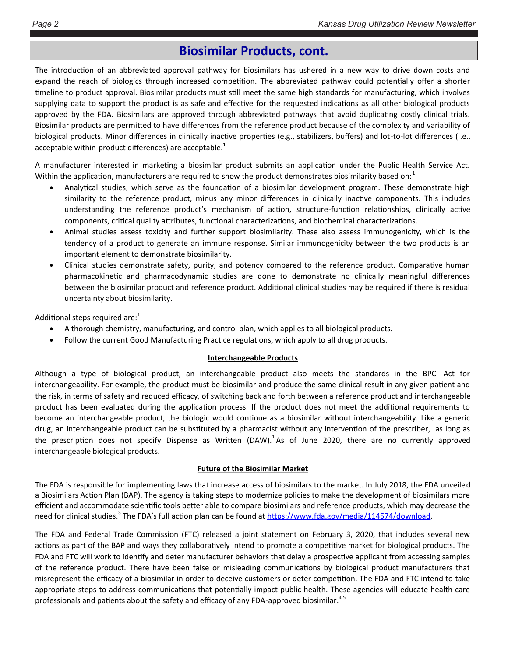### **Biosimilar Products, cont.**

The introduction of an abbreviated approval pathway for biosimilars has ushered in a new way to drive down costs and expand the reach of biologics through increased competition. The abbreviated pathway could potentially offer a shorter timeline to product approval. Biosimilar products must still meet the same high standards for manufacturing, which involves supplying data to support the product is as safe and effective for the requested indications as all other biological products approved by the FDA. Biosimilars are approved through abbreviated pathways that avoid duplicating costly clinical trials. Biosimilar products are permitted to have differences from the reference product because of the complexity and variability of biological products. Minor differences in clinically inactive properties (e.g., stabilizers, buffers) and lot-to-lot differences (i.e., acceptable within-product differences) are acceptable. $1$ 

A manufacturer interested in marketing a biosimilar product submits an application under the Public Health Service Act. Within the application, manufacturers are required to show the product demonstrates biosimilarity based on: $1$ 

- Analytical studies, which serve as the foundation of a biosimilar development program. These demonstrate high similarity to the reference product, minus any minor differences in clinically inactive components. This includes understanding the reference product's mechanism of action, structure-function relationships, clinically active components, critical quality attributes, functional characterizations, and biochemical characterizations.
- Animal studies assess toxicity and further support biosimilarity. These also assess immunogenicity, which is the tendency of a product to generate an immune response. Similar immunogenicity between the two products is an important element to demonstrate biosimilarity.
- Clinical studies demonstrate safety, purity, and potency compared to the reference product. Comparative human pharmacokinetic and pharmacodynamic studies are done to demonstrate no clinically meaningful differences between the biosimilar product and reference product. Additional clinical studies may be required if there is residual uncertainty about biosimilarity.

Additional steps required are: $1$ 

- A thorough chemistry, manufacturing, and control plan, which applies to all biological products.
- Follow the current Good Manufacturing Practice regulations, which apply to all drug products.

#### **Interchangeable Products**

Although a type of biological product, an interchangeable product also meets the standards in the BPCI Act for interchangeability. For example, the product must be biosimilar and produce the same clinical result in any given patient and the risk, in terms of safety and reduced efficacy, of switching back and forth between a reference product and interchangeable product has been evaluated during the application process. If the product does not meet the additional requirements to become an interchangeable product, the biologic would continue as a biosimilar without interchangeability. Like a generic drug, an interchangeable product can be substituted by a pharmacist without any intervention of the prescriber, as long as the prescription does not specify Dispense as Written (DAW).<sup>1</sup>As of June 2020, there are no currently approved interchangeable biological products.

#### **Future of the Biosimilar Market**

The FDA is responsible for implementing laws that increase access of biosimilars to the market. In July 2018, the FDA unveiled a Biosimilars Action Plan (BAP). The agency is taking steps to modernize policies to make the development of biosimilars more efficient and accommodate scientific tools better able to compare biosimilars and reference products, which may decrease the need for clinical studies.<sup>3</sup> The FDA's full action plan can be found at https://www.fda.gov/media/114574/download.

The FDA and Federal Trade Commission (FTC) released a joint statement on February 3, 2020, that includes several new actions as part of the BAP and ways they collaboratively intend to promote a competitive market for biological products. The FDA and FTC will work to identify and deter manufacturer behaviors that delay a prospective applicant from accessing samples of the reference product. There have been false or misleading communications by biological product manufacturers that misrepresent the efficacy of a biosimilar in order to deceive customers or deter competition. The FDA and FTC intend to take appropriate steps to address communications that potentially impact public health. These agencies will educate health care professionals and patients about the safety and efficacy of any FDA-approved biosimilar.<sup>4,5</sup>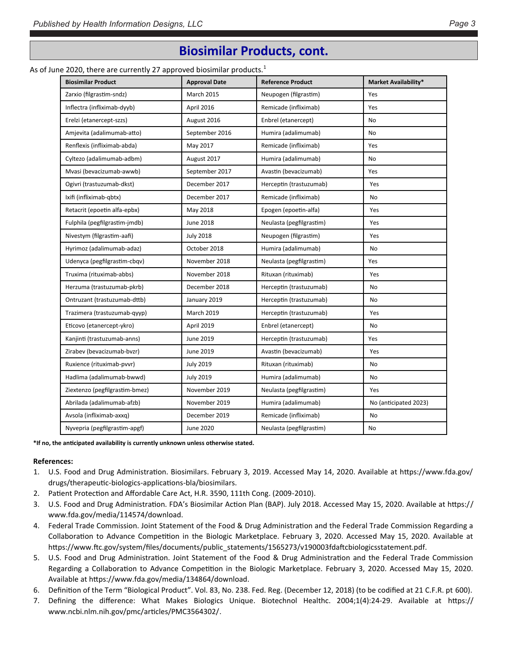### **Biosimilar Products, cont.**

#### As of June 2020, there are currently 27 approved biosimilar products.<sup>1</sup>

| . .                            |                      |                          |                             |
|--------------------------------|----------------------|--------------------------|-----------------------------|
| <b>Biosimilar Product</b>      | <b>Approval Date</b> | <b>Reference Product</b> | <b>Market Availability*</b> |
| Zarxio (filgrastim-sndz)       | March 2015           | Neupogen (filgrastim)    | Yes                         |
| Inflectra (infliximab-dyyb)    | April 2016           | Remicade (infliximab)    | Yes                         |
| Erelzi (etanercept-szzs)       | August 2016          | Enbrel (etanercept)      | <b>No</b>                   |
| Amjevita (adalimumab-atto)     | September 2016       | Humira (adalimumab)      | <b>No</b>                   |
| Renflexis (infliximab-abda)    | May 2017             | Remicade (infliximab)    | Yes                         |
| Cyltezo (adalimumab-adbm)      | August 2017          | Humira (adalimumab)      | No                          |
| Mvasi (bevacizumab-awwb)       | September 2017       | Avastin (bevacizumab)    | Yes                         |
| Ogivri (trastuzumab-dkst)      | December 2017        | Herceptin (trastuzumab)  | Yes                         |
| Ixifi (infliximab-qbtx)        | December 2017        | Remicade (infliximab)    | No                          |
| Retacrit (epoetin alfa-epbx)   | May 2018             | Epogen (epoetin-alfa)    | Yes                         |
| Fulphila (pegfilgrastim-jmdb)  | June 2018            | Neulasta (pegfilgrastim) | Yes                         |
| Nivestym (filgrastim-aafi)     | <b>July 2018</b>     | Neupogen (filgrastim)    | Yes                         |
| Hyrimoz (adalimumab-adaz)      | October 2018         | Humira (adalimumab)      | No                          |
| Udenyca (pegfilgrastim-cbqv)   | November 2018        | Neulasta (pegfilgrastim) | Yes                         |
| Truxima (rituximab-abbs)       | November 2018        | Rituxan (rituximab)      | Yes                         |
| Herzuma (trastuzumab-pkrb)     | December 2018        | Herceptin (trastuzumab)  | No                          |
| Ontruzant (trastuzumab-dttb)   | January 2019         | Herceptin (trastuzumab)  | No                          |
| Trazimera (trastuzumab-qyyp)   | March 2019           | Herceptin (trastuzumab)  | Yes                         |
| Eticovo (etanercept-ykro)      | April 2019           | Enbrel (etanercept)      | <b>No</b>                   |
| Kanjinti (trastuzumab-anns)    | June 2019            | Herceptin (trastuzumab)  | Yes                         |
| Zirabev (bevacizumab-bvzr)     | June 2019            | Avastin (bevacizumab)    | Yes                         |
| Ruxience (rituximab-pvvr)      | <b>July 2019</b>     | Rituxan (rituximab)      | No                          |
| Hadlima (adalimumab-bwwd)      | <b>July 2019</b>     | Humira (adalimumab)      | No                          |
| Ziextenzo (pegfilgrastim-bmez) | November 2019        | Neulasta (pegfilgrastim) | Yes                         |
| Abrilada (adalimumab-afzb)     | November 2019        | Humira (adalimumab)      | No (anticipated 2023)       |
| Avsola (infliximab-axxq)       | December 2019        | Remicade (infliximab)    | No                          |
| Nyvepria (pegfilgrastim-apgf)  | June 2020            | Neulasta (pegfilgrastim) | <b>No</b>                   |
|                                |                      |                          |                             |

**\*If no, the anticipated availability is currently unknown unless otherwise stated.** 

#### **References:**

- 1. U.S. Food and Drug Administration. Biosimilars. February 3, 2019. Accessed May 14, 2020. Available at https://www.fda.gov/ drugs/therapeutic-biologics-applications-bla/biosimilars.
- 2. Patient Protection and Affordable Care Act, H.R. 3590, 111th Cong. (2009-2010).
- 3. U.S. Food and Drug Administration. FDA's Biosimilar Action Plan (BAP). July 2018. Accessed May 15, 2020. Available at https:// www.fda.gov/media/114574/download.
- 4. Federal Trade Commission. Joint Statement of the Food & Drug Administration and the Federal Trade Commission Regarding a Collaboration to Advance Competition in the Biologic Marketplace. February 3, 2020. Accessed May 15, 2020. Available at https://www.ftc.gov/system/files/documents/public\_statements/1565273/v190003fdaftcbiologicsstatement.pdf.
- 5. U.S. Food and Drug Administration. Joint Statement of the Food & Drug Administration and the Federal Trade Commission Regarding a Collaboration to Advance Competition in the Biologic Marketplace. February 3, 2020. Accessed May 15, 2020. Available at https://www.fda.gov/media/134864/download.
- 6. Definition of the Term "Biological Product". Vol. 83, No. 238. Fed. Reg. (December 12, 2018) (to be codified at 21 C.F.R. pt 600).
- 7. Defining the difference: What Makes Biologics Unique. Biotechnol Healthc. 2004;1(4):24‐29. Available at [https://](https://www.ncbi.nlm.nih.gov/pmc/articles/PMC3564302/) [www.ncbi.nlm.nih.gov/pmc/articles/PMC3564302/.](https://www.ncbi.nlm.nih.gov/pmc/articles/PMC3564302/)